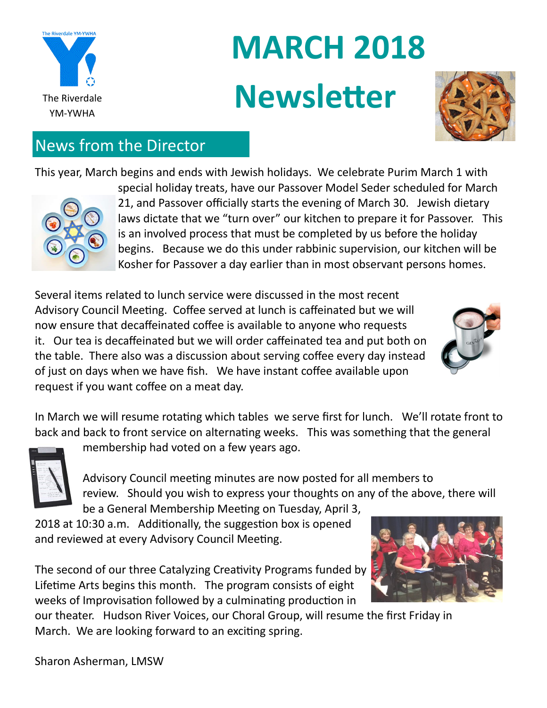

# **MARCH 2018** The Riverdale **Newsletter**



## News from the Director

This year, March begins and ends with Jewish holidays. We celebrate Purim March 1 with



special holiday treats, have our Passover Model Seder scheduled for March 21, and Passover officially starts the evening of March 30. Jewish dietary laws dictate that we "turn over" our kitchen to prepare it for Passover. This is an involved process that must be completed by us before the holiday begins. Because we do this under rabbinic supervision, our kitchen will be Kosher for Passover a day earlier than in most observant persons homes.

Several items related to lunch service were discussed in the most recent Advisory Council Meeting. Coffee served at lunch is caffeinated but we will now ensure that decaffeinated coffee is available to anyone who requests it. Our tea is decaffeinated but we will order caffeinated tea and put both on the table. There also was a discussion about serving coffee every day instead of just on days when we have fish. We have instant coffee available upon request if you want coffee on a meat day.



In March we will resume rotating which tables we serve first for lunch. We'll rotate front to back and back to front service on alternating weeks. This was something that the general



membership had voted on a few years ago.

Advisory Council meeting minutes are now posted for all members to review. Should you wish to express your thoughts on any of the above, there will

be a General Membership Meeting on Tuesday, April 3, 2018 at 10:30 a.m. Additionally, the suggestion box is opened and reviewed at every Advisory Council Meeting.

The second of our three Catalyzing Creativity Programs funded by Lifetime Arts begins this month. The program consists of eight weeks of Improvisation followed by a culminating production in

our theater. Hudson River Voices, our Choral Group, will resume the first Friday in March. We are looking forward to an exciting spring.

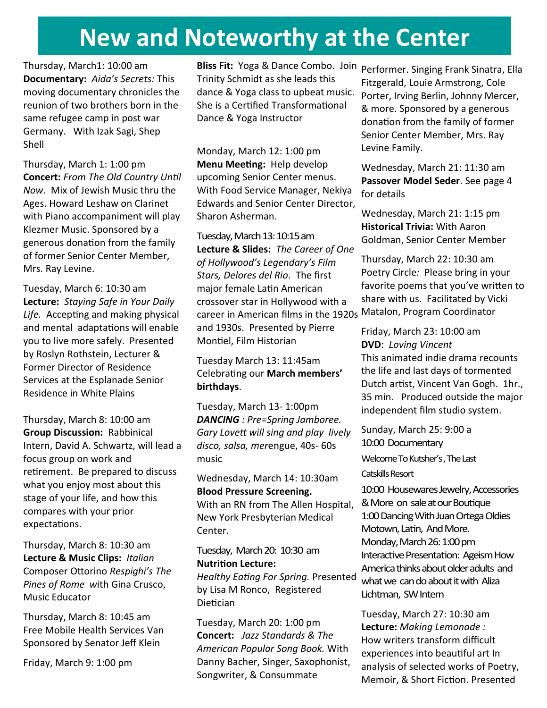## **New and Noteworthy at the Center**

Thursday, March1: 10:00 am **Documentary:** *Aida's Secrets:* This moving documentary chronicles the reunion of two brothers born in the same refugee camp in post war Germany. With Izak Sagi, Shep Shell

Thursday, March 1: 1:00 pm **Concert:** *From The Old Country Until Now.* Mix of Jewish Music thru the Ages. Howard Leshaw on Clarinet with Piano accompaniment will play Klezmer Music. Sponsored by a generous donation from the family of former Senior Center Member, Mrs. Ray Levine.

Tuesday, March 6: 10:30 am **Lecture:** *Staying Safe in Your Daily Life.* Accepting and making physical and mental adaptations will enable you to live more safely. Presented by Roslyn Rothstein, Lecturer & Former Director of Residence Services at the Esplanade Senior Residence in White Plains

Thursday, March 8: 10:00 am **Group Discussion:** Rabbinical Intern, David A. Schwartz, will lead a focus group on work and retirement. Be prepared to discuss what you enjoy most about this stage of your life, and how this compares with your prior expectations.

Thursday, March 8: 10:30 am **Lecture & Music Clips:** *Italian*  Composer Ottorino *Respighi's The Pines of Rome w*ith Gina Crusco, Music Educator

Thursday, March 8: 10:45 am Free Mobile Health Services Van Sponsored by Senator Jeff Klein

Friday, March 9: 1:00 pm

**Bliss Fit:** Yoga & Dance Combo. Join Performer. Singing Frank Sinatra, Ella Trinity Schmidt as she leads this dance & Yoga class to upbeat music. She is a Certified Transformational Dance & Yoga Instructor

Monday, March 12: 1:00 pm **Menu Meeting:** Help develop upcoming Senior Center menus. With Food Service Manager, Nekiya Edwards and Senior Center Director, Sharon Asherman.

Tuesday, March 13: 10:15 am **Lecture & Slides:** *The Career of One of Hollywood's Legendary's Film Stars, Delores del Rio*. The first major female Latin American crossover star in Hollywood with a career in American films in the 1920s Matalon, Program Coordinator and 1930s. Presented by Pierre Montiel, Film Historian

Tuesday March 13: 11:45am Celebrating our **March members' birthdays**.

Tuesday, March 13- 1:00pm *DANCING : Pre=Spring Jamboree. Gary Lovett will sing and play lively disco, salsa, mer*engue, 40s- 60s music

Wednesday, March 14: 10:30am **Blood Pressure Screening.**  With an RN from The Allen Hospital, New York Presbyterian Medical

Center.

Tuesday, March 20: 10:30 am **Nutrition Lecture:**

*Healthy Eating For Spring.* Presented by Lisa M Ronco, Registered Dietician

Tuesday, March 20: 1:00 pm **Concert:** *Jazz Standards & The American Popular Song Book.* With Danny Bacher, Singer, Saxophonist, Songwriter, & Consummate

Fitzgerald, Louie Armstrong, Cole Porter, Irving Berlin, Johnny Mercer, & more. Sponsored by a generous donation from the family of former Senior Center Member, Mrs. Ray Levine Family.

Wednesday, March 21: 11:30 am **Passover Model Seder**. See page 4 for details

Wednesday, March 21: 1:15 pm **Historical Trivia:** With Aaron Goldman, Senior Center Member

Thursday, March 22: 10:30 am Poetry Circle*:* Please bring in your favorite poems that you've written to share with us. Facilitated by Vicki

Friday, March 23: 10:00 am **DVD**: *Loving Vincent* This animated indie drama recounts the life and last days of tormented Dutch artist, Vincent Van Gogh. 1hr., 35 min. Produced outside the major independent film studio system.

Sunday, March 25: 9:00 a 10:00 Documentary Welcome To Kutsher's , The Last Catskills Resort

10:00 Housewares Jewelry, Accessories & More on sale at our Boutique 1:00 Dancing With Juan Ortega Oldies Motown, Latin, And More. Monday, March 26: 1:00 pm Interactive Presentation: Ageism How America thinks about older adults and what we can do about it with Aliza Lichtman, SW Intern

Tuesday, March 27: 10:30 am **Lecture:** *Making Lemonade :* How writers transform difficult experiences into beautiful art In analysis of selected works of Poetry, Memoir, & Short Fiction. Presented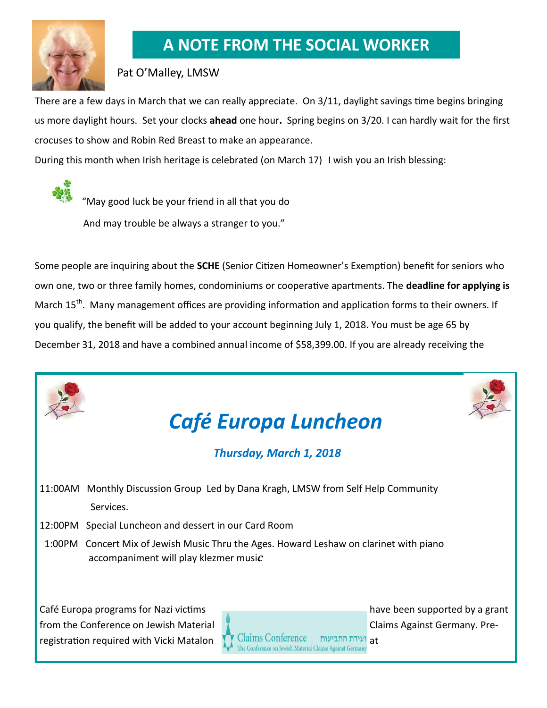

## **A NOTE FROM THE SOCIAL WORKER**

### Pat O'Malley, LMSW

There are a few days in March that we can really appreciate. On 3/11, daylight savings time begins bringing us more daylight hours. Set your clocks **ahead** one hour**.** Spring begins on 3/20. I can hardly wait for the first crocuses to show and Robin Red Breast to make an appearance.

During this month when Irish heritage is celebrated (on March 17) I wish you an Irish blessing:

 "May good luck be your friend in all that you do And may trouble be always a stranger to you."

Some people are inquiring about the **SCHE** (Senior Citizen Homeowner's Exemption) benefit for seniors who own one, two or three family homes, condominiums or cooperative apartments. The **deadline for applying is** March 15<sup>th</sup>. Many management offices are providing information and application forms to their owners. If you qualify, the benefit will be added to your account beginning July 1, 2018. You must be age 65 by December 31, 2018 and have a combined annual income of \$58,399.00. If you are already receiving the

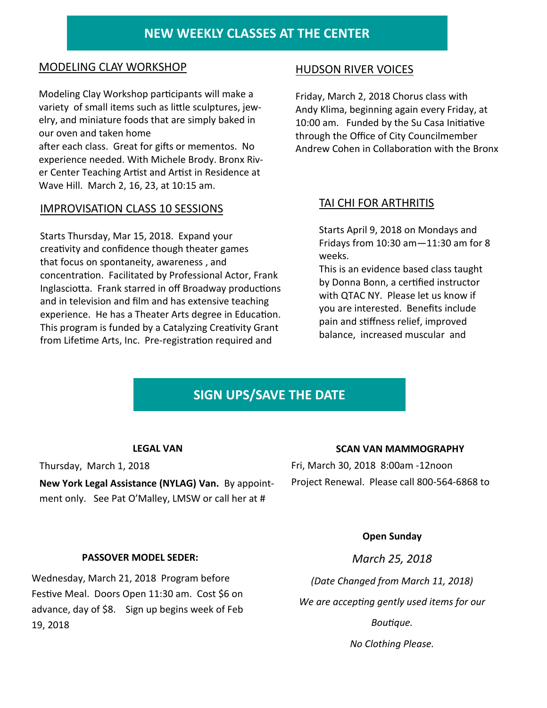### **NEW WEEKLY CLASSES AT THE CENTER**

#### MODELING CLAY WORKSHOP

Modeling Clay Workshop participants will make a variety of small items such as little sculptures, jewelry, and miniature foods that are simply baked in our oven and taken home

after each class. Great for gifts or mementos. No experience needed. With Michele Brody. Bronx River Center Teaching Artist and Artist in Residence at Wave Hill. March 2, 16, 23, at 10:15 am.

#### IMPROVISATION CLASS 10 SESSIONS

Starts Thursday, Mar 15, 2018. Expand your creativity and confidence though theater games that focus on spontaneity, awareness , and concentration. Facilitated by Professional Actor, Frank Inglasciotta. Frank starred in off Broadway productions and in television and film and has extensive teaching experience. He has a Theater Arts degree in Education. This program is funded by a Catalyzing Creativity Grant from Lifetime Arts, Inc. Pre-registration required and

#### HUDSON RIVER VOICES

Friday, March 2, 2018 Chorus class with Andy Klima, beginning again every Friday, at 10:00 am. Funded by the Su Casa Initiative through the Office of City Councilmember Andrew Cohen in Collaboration with the Bronx

#### TAI CHI FOR ARTHRITIS

Starts April 9, 2018 on Mondays and Fridays from 10:30 am—11:30 am for 8 weeks.

This is an evidence based class taught by Donna Bonn, a certified instructor with QTAC NY. Please let us know if you are interested. Benefits include pain and stiffness relief, improved balance, increased muscular and

## **SIGN UPS/SAVE THE DATE**

#### **LEGAL VAN**

Thursday, March 1, 2018 **New York Legal Assistance (NYLAG) Van.** By appointment only. See Pat O'Malley, LMSW or call her at #

#### **SCAN VAN MAMMOGRAPHY**

Fri, March 30, 2018 8:00am -12noon Project Renewal. Please call 800-564-6868 to

#### **Open Sunday**

**PASSOVER MODEL SEDER:** 

Wednesday, March 21, 2018 Program before Festive Meal. Doors Open 11:30 am. Cost \$6 on advance, day of \$8. Sign up begins week of Feb 19, 2018

*March 25, 2018*

*(Date Changed from March 11, 2018)* 

*We are accepting gently used items for our* 

*Boutique.* 

*No Clothing Please.*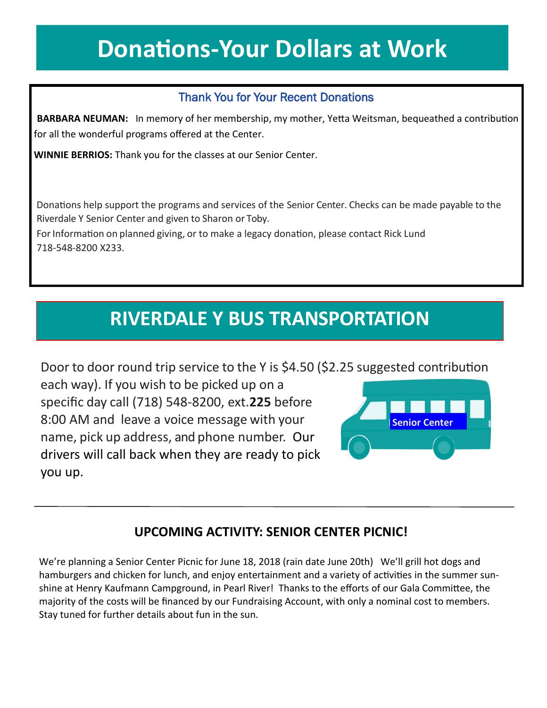# **Donations-Your Dollars at Work**

## Thank You for Your Recent Donations

 **BARBARA NEUMAN:** In memory of her membership, my mother, Yetta Weitsman, bequeathed a contribution for all the wonderful programs offered at the Center.

**WINNIE BERRIOS:** Thank you for the classes at our Senior Center.

Donations help support the programs and services of the Senior Center. Checks can be made payable to the Riverdale Y Senior Center and given to Sharon or Toby.

For Information on planned giving, or to make a legacy donation, please contact Rick Lund 718-548-8200 X233.

## **RIVERDALE Y BUS TRANSPORTATION**

Door to door round trip service to the Y is \$4.50 (\$2.25 suggested contribution

each way). If you wish to be picked up on a specific day call (718) 548-8200, ext.**225** before 8:00 AM and leave a voice message with your name, pick up address, and phone number. Our drivers will call back when they are ready to pick you up.



## **UPCOMING ACTIVITY: SENIOR CENTER PICNIC!**

We're planning a Senior Center Picnic for June 18, 2018 (rain date June 20th) We'll grill hot dogs and hamburgers and chicken for lunch, and enjoy entertainment and a variety of activities in the summer sunshine at Henry Kaufmann Campground, in Pearl River! Thanks to the efforts of our Gala Committee, the majority of the costs will be financed by our Fundraising Account, with only a nominal cost to members. Stay tuned for further details about fun in the sun.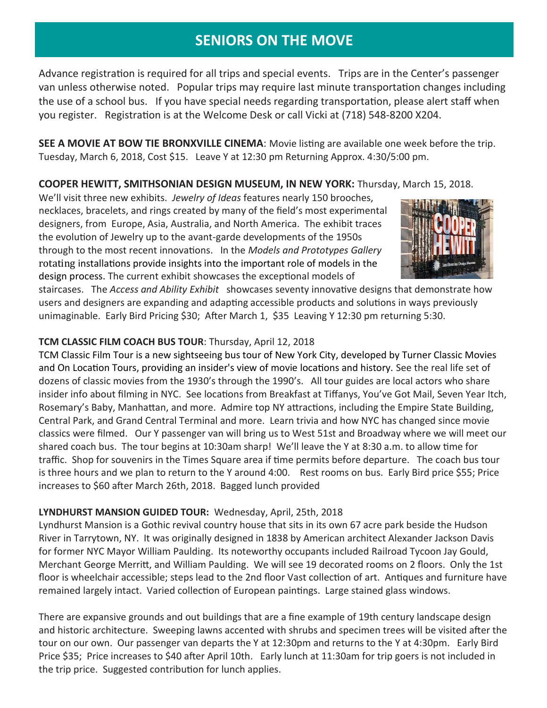## **SENIORS ON THE MOVE**

Advance registration is required for all trips and special events. Trips are in the Center's passenger van unless otherwise noted. Popular trips may require last minute transportation changes including the use of a school bus. If you have special needs regarding transportation, please alert staff when you register. Registration is at the Welcome Desk or call Vicki at (718) 548-8200 X204.

**SEE A MOVIE AT BOW TIE BRONXVILLE CINEMA**: Movie listing are available one week before the trip. Tuesday, March 6, 2018, Cost \$15. Leave Y at 12:30 pm Returning Approx. 4:30/5:00 pm.

#### **COOPER HEWITT, SMITHSONIAN DESIGN MUSEUM, IN NEW YORK:** Thursday, March 15, 2018.

We'll visit three new exhibits. *Jewelry of Ideas* features nearly 150 brooches, necklaces, bracelets, and rings created by many of the field's most experimental designers, from Europe, Asia, Australia, and North America. The exhibit traces the evolution of Jewelry up to the avant-garde developments of the 1950s through to the most recent innovations. In the *Models and Prototypes Gallery*  rotating installations provide insights into the important role of models in the design process. The current exhibit showcases the exceptional models of



staircases. The *Access and Ability Exhibit* showcases seventy innovative designs that demonstrate how users and designers are expanding and adapting accessible products and solutions in ways previously unimaginable. Early Bird Pricing \$30; After March 1, \$35 Leaving Y 12:30 pm returning 5:30.

#### **TCM CLASSIC FILM COACH BUS TOUR**: Thursday, April 12, 2018

TCM Classic Film Tour is a new sightseeing bus tour of New York City, developed by Turner Classic Movies and On Location Tours, providing an insider's view of movie locations and history. See the real life set of dozens of classic movies from the 1930's through the 1990's. All tour guides are local actors who share insider info about filming in NYC. See locations from Breakfast at Tiffanys, You've Got Mail, Seven Year Itch, Rosemary's Baby, Manhattan, and more. Admire top NY attractions, including the Empire State Building, Central Park, and Grand Central Terminal and more. Learn trivia and how NYC has changed since movie classics were filmed. Our Y passenger van will bring us to West 51st and Broadway where we will meet our shared coach bus. The tour begins at 10:30am sharp! We'll leave the Y at 8:30 a.m. to allow time for traffic. Shop for souvenirs in the Times Square area if time permits before departure. The coach bus tour is three hours and we plan to return to the Y around 4:00. Rest rooms on bus. Early Bird price \$55; Price increases to \$60 after March 26th, 2018. Bagged lunch provided

#### **LYNDHURST MANSION GUIDED TOUR:** Wednesday, April, 25th, 2018

Lyndhurst Mansion is a Gothic revival country house that sits in its own 67 acre park beside the Hudson River in Tarrytown, NY. It was originally designed in 1838 by American architect Alexander Jackson Davis for former NYC Mayor William Paulding. Its noteworthy occupants included Railroad Tycoon Jay Gould, Merchant George Merritt, and William Paulding. We will see 19 decorated rooms on 2 floors. Only the 1st floor is wheelchair accessible; steps lead to the 2nd floor Vast collection of art. Antiques and furniture have remained largely intact. Varied collection of European paintings. Large stained glass windows.

There are expansive grounds and out buildings that are a fine example of 19th century landscape design and historic architecture. Sweeping lawns accented with shrubs and specimen trees will be visited after the tour on our own. Our passenger van departs the Y at 12:30pm and returns to the Y at 4:30pm. Early Bird Price \$35; Price increases to \$40 after April 10th. Early lunch at 11:30am for trip goers is not included in the trip price. Suggested contribution for lunch applies.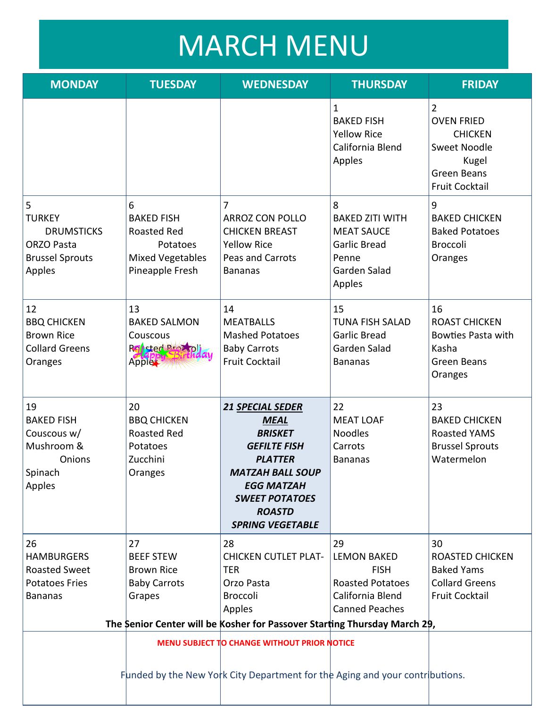# MARCH MENU

| <b>MONDAY</b>                                                                                    | <b>TUESDAY</b>                                                                                         | <b>WEDNESDAY</b>                                                                                                                                                                                                       | <b>THURSDAY</b>                                                                                                 | <b>FRIDAY</b>                                                                                                    |
|--------------------------------------------------------------------------------------------------|--------------------------------------------------------------------------------------------------------|------------------------------------------------------------------------------------------------------------------------------------------------------------------------------------------------------------------------|-----------------------------------------------------------------------------------------------------------------|------------------------------------------------------------------------------------------------------------------|
|                                                                                                  |                                                                                                        |                                                                                                                                                                                                                        | $\mathbf{1}$<br><b>BAKED FISH</b><br><b>Yellow Rice</b><br>California Blend<br>Apples                           | 2<br><b>OVEN FRIED</b><br><b>CHICKEN</b><br>Sweet Noodle<br>Kugel<br><b>Green Beans</b><br><b>Fruit Cocktail</b> |
| 5<br><b>TURKEY</b><br><b>DRUMSTICKS</b><br><b>ORZO Pasta</b><br><b>Brussel Sprouts</b><br>Apples | 6<br><b>BAKED FISH</b><br><b>Roasted Red</b><br>Potatoes<br><b>Mixed Vegetables</b><br>Pineapple Fresh | 7<br><b>ARROZ CON POLLO</b><br><b>CHICKEN BREAST</b><br><b>Yellow Rice</b><br>Peas and Carrots<br><b>Bananas</b>                                                                                                       | 8<br><b>BAKED ZITI WITH</b><br><b>MEAT SAUCE</b><br><b>Garlic Bread</b><br>Penne<br>Garden Salad<br>Apples      | 9<br><b>BAKED CHICKEN</b><br><b>Baked Potatoes</b><br><b>Broccoli</b><br>Oranges                                 |
| 12<br><b>BBQ CHICKEN</b><br><b>Brown Rice</b><br><b>Collard Greens</b><br>Oranges                | 13<br><b>BAKED SALMON</b><br>Couscous<br>Red Broz pli<br>Apple                                         | 14<br><b>MEATBALLS</b><br><b>Mashed Potatoes</b><br><b>Baby Carrots</b><br><b>Fruit Cocktail</b>                                                                                                                       | 15<br><b>TUNA FISH SALAD</b><br><b>Garlic Bread</b><br>Garden Salad<br><b>Bananas</b>                           | 16<br><b>ROAST CHICKEN</b><br><b>Bowties Pasta with</b><br>Kasha<br><b>Green Beans</b><br>Oranges                |
| 19<br><b>BAKED FISH</b><br>Couscous w/<br>Mushroom &<br>Onions<br>Spinach<br>Apples              | 20<br><b>BBQ CHICKEN</b><br><b>Roasted Red</b><br>Potatoes<br>Zucchini<br>Oranges                      | <b>21 SPECIAL SEDER</b><br><b>MEAL</b><br><b>BRISKET</b><br><b>GEFILTE FISH</b><br><b>PLATTER</b><br><b>MATZAH BALL SOUP</b><br><b>EGG MATZAH</b><br><b>SWEET POTATOES</b><br><b>ROASTD</b><br><b>SPRING VEGETABLE</b> | 22<br><b>MEAT LOAF</b><br><b>Noodles</b><br>Carrots<br><b>Bananas</b>                                           | 23<br><b>BAKED CHICKEN</b><br><b>Roasted YAMS</b><br><b>Brussel Sprouts</b><br>Watermelon                        |
| 26<br><b>HAMBURGERS</b><br><b>Roasted Sweet</b><br><b>Potatoes Fries</b><br><b>Bananas</b>       | 27<br><b>BEEF STEW</b><br><b>Brown Rice</b><br><b>Baby Carrots</b><br>Grapes                           | 28<br><b>CHICKEN CUTLET PLAT-</b><br><b>TER</b><br>Orzo Pasta<br>Broccoli<br>Apples                                                                                                                                    | 29<br><b>LEMON BAKED</b><br><b>FISH</b><br><b>Roasted Potatoes</b><br>California Blend<br><b>Canned Peaches</b> | 30<br><b>ROASTED CHICKEN</b><br><b>Baked Yams</b><br><b>Collard Greens</b><br><b>Fruit Cocktail</b>              |
| The Senior Center will be Kosher for Passover Starting Thursday March 29,                        |                                                                                                        |                                                                                                                                                                                                                        |                                                                                                                 |                                                                                                                  |
|                                                                                                  |                                                                                                        | MENU SUBJECT TO CHANGE WITHOUT PRIOR NOTICE<br>Funded by the New York City Department for the Aging and your contributions.                                                                                            |                                                                                                                 |                                                                                                                  |